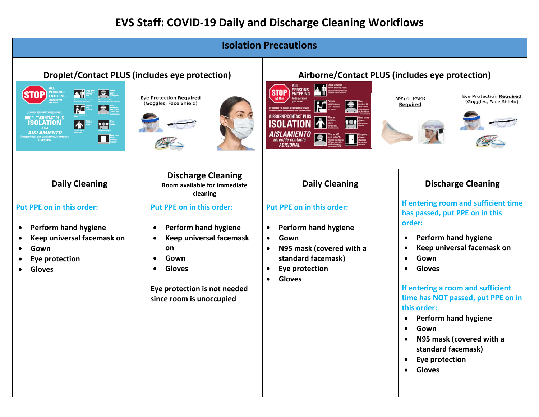## **EVS Staff: COVID-19 Daily and Discharge Cleaning Workflows**

| <b>Isolation Precautions</b>                                                                                                                                                                                                                                                                                                                                                            |                                                                                                                                                                                                    |                                                                                                                                                                                                                                                                                |                                                                                                                                                                                                                                                                                                                                                                                                                                       |  |  |
|-----------------------------------------------------------------------------------------------------------------------------------------------------------------------------------------------------------------------------------------------------------------------------------------------------------------------------------------------------------------------------------------|----------------------------------------------------------------------------------------------------------------------------------------------------------------------------------------------------|--------------------------------------------------------------------------------------------------------------------------------------------------------------------------------------------------------------------------------------------------------------------------------|---------------------------------------------------------------------------------------------------------------------------------------------------------------------------------------------------------------------------------------------------------------------------------------------------------------------------------------------------------------------------------------------------------------------------------------|--|--|
| Droplet/Contact PLUS (includes eye protection)<br>E<br><b>PERSONS</b><br><b>de î</b><br><b>STOP</b><br>ENTERING<br>Eye Protection Required<br>(Goggles, Face Shield)<br>K<br>$ \bullet $<br><b>DROPLET/CONTACT PLUS</b><br><b>ISOLATION</b><br>$\left  \boldsymbol{\Lambda} \right $<br><u>ter</u><br><b>AISLAMIENTO</b><br>por gotículas/contacto<br>  ADICIONAL<br>$\boldsymbol{\Pi}$ |                                                                                                                                                                                                    | Airborne/Contact PLUS (includes eye protection)<br><b>PERSONS</b><br><b>STOP</b><br>Eye Protection Required<br>N95 or PAPR<br>(Goggles, Face Shield)<br><b>Required</b><br><b>AIRBORNE/CONTACT PLUS</b><br>ISOL<br><i><b>AISLAMIENTO</b></i><br>aéreo/de contacto<br>ADICIONAL |                                                                                                                                                                                                                                                                                                                                                                                                                                       |  |  |
| <b>Daily Cleaning</b>                                                                                                                                                                                                                                                                                                                                                                   | <b>Discharge Cleaning</b><br>Room available for immediate<br>cleaning                                                                                                                              | <b>Daily Cleaning</b>                                                                                                                                                                                                                                                          | <b>Discharge Cleaning</b>                                                                                                                                                                                                                                                                                                                                                                                                             |  |  |
| Put PPE on in this order:<br>Perform hand hygiene<br>٠<br>Keep universal facemask on<br>Gown<br><b>Eye protection</b><br><b>Gloves</b>                                                                                                                                                                                                                                                  | <b>Put PPE on in this order:</b><br><b>Perform hand hygiene</b><br>$\bullet$<br>Keep universal facemask<br>on<br>Gown<br><b>Gloves</b><br>Eye protection is not needed<br>since room is unoccupied | Put PPE on in this order:<br><b>Perform hand hygiene</b><br>$\bullet$<br>Gown<br>$\bullet$<br>N95 mask (covered with a<br>standard facemask)<br>Eye protection<br><b>Gloves</b>                                                                                                | If entering room and sufficient time<br>has passed, put PPE on in this<br>order:<br><b>Perform hand hygiene</b><br>$\bullet$<br>Keep universal facemask on<br>Gown<br><b>Gloves</b><br>$\bullet$<br>If entering a room and sufficient<br>time has NOT passed, put PPE on in<br>this order:<br><b>Perform hand hygiene</b><br>$\bullet$<br>Gown<br>N95 mask (covered with a<br>standard facemask)<br><b>Eye protection</b><br>• Gloves |  |  |